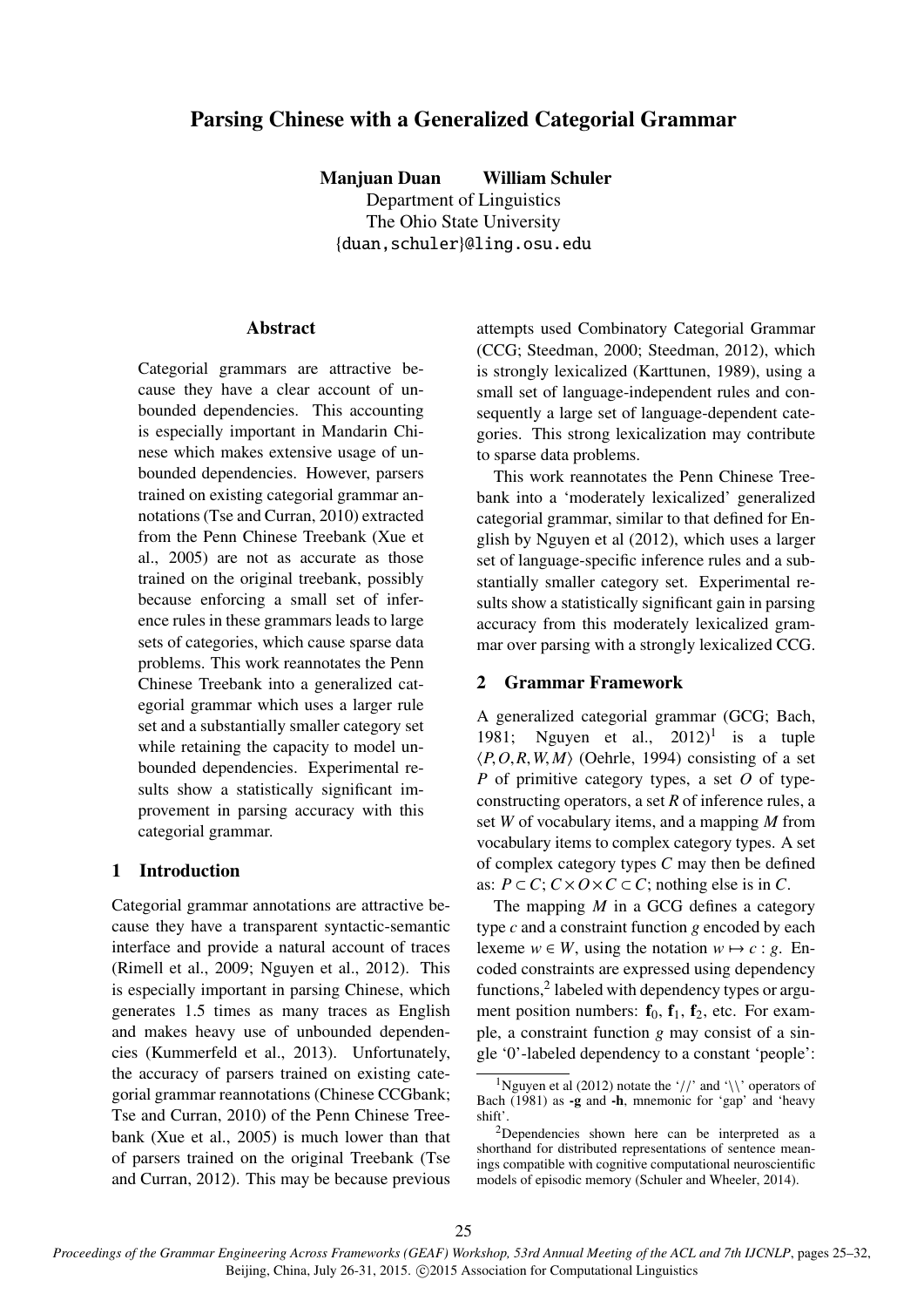# Parsing Chinese with a Generalized Categorial Grammar

Manjuan Duan William Schuler

Department of Linguistics The Ohio State University {duan,schuler}@ling.osu.edu

### **Abstract**

Categorial grammars are attractive because they have a clear account of unbounded dependencies. This accounting is especially important in Mandarin Chinese which makes extensive usage of unbounded dependencies. However, parsers trained on existing categorial grammar annotations (Tse and Curran, 2010) extracted from the Penn Chinese Treebank (Xue et al., 2005) are not as accurate as those trained on the original treebank, possibly because enforcing a small set of inference rules in these grammars leads to large sets of categories, which cause sparse data problems. This work reannotates the Penn Chinese Treebank into a generalized categorial grammar which uses a larger rule set and a substantially smaller category set while retaining the capacity to model unbounded dependencies. Experimental results show a statistically significant improvement in parsing accuracy with this categorial grammar.

# 1 Introduction

Categorial grammar annotations are attractive because they have a transparent syntactic-semantic interface and provide a natural account of traces (Rimell et al., 2009; Nguyen et al., 2012). This is especially important in parsing Chinese, which generates 1.5 times as many traces as English and makes heavy use of unbounded dependencies (Kummerfeld et al., 2013). Unfortunately, the accuracy of parsers trained on existing categorial grammar reannotations (Chinese CCGbank; Tse and Curran, 2010) of the Penn Chinese Treebank (Xue et al., 2005) is much lower than that of parsers trained on the original Treebank (Tse and Curran, 2012). This may be because previous attempts used Combinatory Categorial Grammar (CCG; Steedman, 2000; Steedman, 2012), which is strongly lexicalized (Karttunen, 1989), using a small set of language-independent rules and consequently a large set of language-dependent categories. This strong lexicalization may contribute to sparse data problems.

This work reannotates the Penn Chinese Treebank into a 'moderately lexicalized' generalized categorial grammar, similar to that defined for English by Nguyen et al (2012), which uses a larger set of language-specific inference rules and a substantially smaller category set. Experimental results show a statistically significant gain in parsing accuracy from this moderately lexicalized grammar over parsing with a strongly lexicalized CCG.

## 2 Grammar Framework

A generalized categorial grammar (GCG; Bach, 1981; Nguyen et al.,  $2012$ <sup>1</sup> is a tuple  $\langle P, O, R, W, M \rangle$  (Oehrle, 1994) consisting of a set *P* of primitive category types, a set *O* of typeconstructing operators, a set *R* of inference rules, a set *W* of vocabulary items, and a mapping *M* from vocabulary items to complex category types. A set of complex category types *C* may then be defined as:  $P \subset C$ ;  $C \times O \times C \subset C$ ; nothing else is in *C*.

The mapping *M* in a GCG defines a category type *c* and a constraint function *g* encoded by each lexeme  $w \in W$ , using the notation  $w \mapsto c : g$ . Encoded constraints are expressed using dependency functions,<sup>2</sup> labeled with dependency types or argument position numbers:  $f_0$ ,  $f_1$ ,  $f_2$ , etc. For example, a constraint function *g* may consist of a single '0'-labeled dependency to a constant 'people':

<sup>&</sup>lt;sup>1</sup>Nguyen et al (2012) notate the '//' and '\\' operators of Bach (1981) as -g and -h, mnemonic for 'gap' and 'heavy shift'.

 $2$ Dependencies shown here can be interpreted as a shorthand for distributed representations of sentence meanings compatible with cognitive computational neuroscientific models of episodic memory (Schuler and Wheeler, 2014).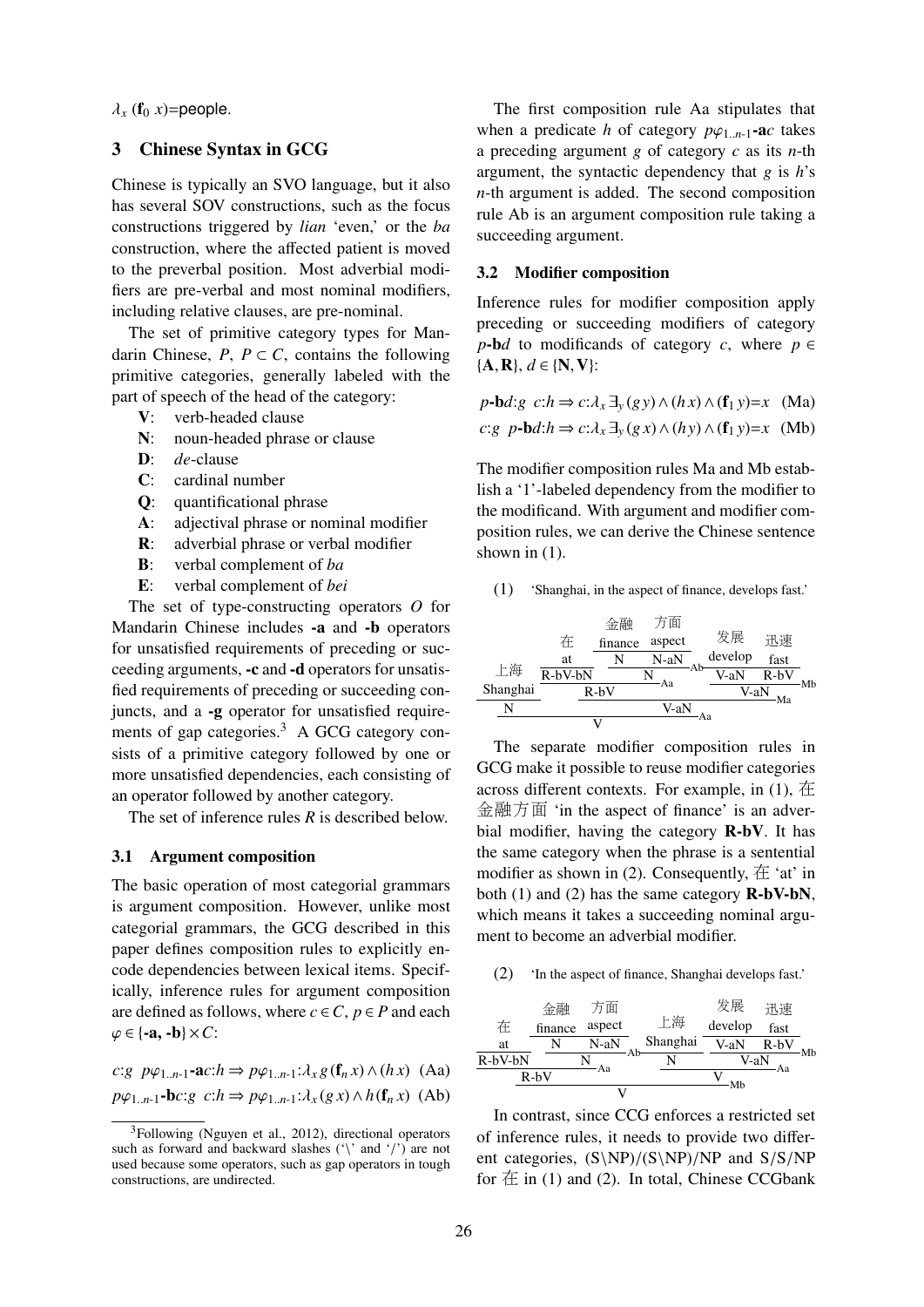$\lambda_x$  ( $f_0$  *x*)=people.

# 3 Chinese Syntax in GCG

Chinese is typically an SVO language, but it also has several SOV constructions, such as the focus constructions triggered by *lian* 'even,' or the *ba* construction, where the affected patient is moved to the preverbal position. Most adverbial modifiers are pre-verbal and most nominal modifiers, including relative clauses, are pre-nominal.

The set of primitive category types for Mandarin Chinese,  $P, P \subset C$ , contains the following primitive categories, generally labeled with the part of speech of the head of the category:

- V: verb-headed clause
- N: noun-headed phrase or clause
- D: *de*-clause
- C: cardinal number
- Q: quantificational phrase
- A: adjectival phrase or nominal modifier
- R: adverbial phrase or verbal modifier
- B: verbal complement of *ba*
- E: verbal complement of *bei*

The set of type-constructing operators *O* for Mandarin Chinese includes -a and -b operators for unsatisfied requirements of preceding or succeeding arguments, -c and -d operators for unsatisfied requirements of preceding or succeeding conjuncts, and a -g operator for unsatisfied requirements of gap categories.<sup>3</sup> A GCG category consists of a primitive category followed by one or more unsatisfied dependencies, each consisting of an operator followed by another category.

The set of inference rules *R* is described below.

## 3.1 Argument composition

The basic operation of most categorial grammars is argument composition. However, unlike most categorial grammars, the GCG described in this paper defines composition rules to explicitly encode dependencies between lexical items. Specifically, inference rules for argument composition are defined as follows, where  $c \in C$ ,  $p \in P$  and each  $\varphi \in \{-a, -b\} \times C$ :

*c*:*g*  $p\varphi$ <sub>1.*n*-1</sub>**-a***c*:*h* ⇒  $p\varphi$ <sub>1.*n*-1</sub>: $\lambda$ <sub>*x*</sub> *g*(**f**<sub>*n*</sub> *x*)∧(*h***x**) (Aa)

 $p\varphi_1$ <sub>*n*-1</sub>-**b***c*:*g*  $c: h \Rightarrow p\varphi_1$ <sub>*n*-1</sub>: $\lambda_x(gx) \wedge h(f_n x)$  (Ab)

The first composition rule Aa stipulates that when a predicate *h* of category  $p\varphi_{1..n-1}$ -ac takes a preceding argument *g* of category *c* as its *n*-th argument, the syntactic dependency that *g* is *h*'s *n*-th argument is added. The second composition rule Ab is an argument composition rule taking a succeeding argument.

# 3.2 Modifier composition

Inference rules for modifier composition apply preceding or succeeding modifiers of category  $p$ -b*d* to modificands of category *c*, where  $p \in$  ${A, R}, d \in \{N, V\}$ :

$$
p\text{-}\mathbf{b}d\text{:}g \ c\text{:}h \Rightarrow c\text{:}\lambda_x \exists_y(gy) \land (hx) \land (\mathbf{f}_1 y) = x \quad (\text{Ma})
$$
  
c:g  $p\text{-}\mathbf{b}d\text{:}h \Rightarrow c\text{:}\lambda_x \exists_y(gx) \land (hy) \land (\mathbf{f}_1 y) = x \quad (\text{Mb})$ 

The modifier composition rules Ma and Mb establish a '1'-labeled dependency from the modifier to the modificand. With argument and modifier composition rules, we can derive the Chinese sentence shown in  $(1)$ .

(1) 'Shanghai, in the aspect of finance, develops fast.'

上海 Shanghai N 在 at R-bV-bN 金<sup>融</sup> finance N 方面 aspect N-aN Ab <sup>N</sup> Aa R-bV <sup>发</sup>展 develop V-aN 迅速 fast R-bV Mb V-aN Ma V-aN Aa <sup>V</sup>

The separate modifier composition rules in GCG make it possible to reuse modifier categories across different contexts. For example, in  $(1)$ ,  $\overline{4}$ 金融方<sup>面</sup> 'in the aspect of finance' is an adverbial modifier, having the category R-bV. It has the same category when the phrase is a sentential modifier as shown in (2). Consequently,  $\pm$  'at' in both  $(1)$  and  $(2)$  has the same category  $\mathbf{R}\text{-}b\mathbf{V}\text{-}b\mathbf{N}$ , which means it takes a succeeding nominal argument to become an adverbial modifier.

(2) 'In the aspect of finance, Shanghai develops fast.'

|         | $R-bV$  | Aа     |    |          | Mb      | Aа     |    |
|---------|---------|--------|----|----------|---------|--------|----|
| R-bV-bN |         |        |    |          | V-aN    |        |    |
| at      |         | N-aN   | Ab | Shanghai | V-aN    | $R-bV$ | Mb |
| 在       | finance | aspect |    | 上海       | develop | fast   |    |
|         | 金融      | 方面     |    |          | 发展      | 迅速     |    |

In contrast, since CCG enforces a restricted set of inference rules, it needs to provide two different categories,  $(S\NP)/(S\NP)/NP$  and  $S/S/NP$ for  $\pm$  in (1) and (2). In total, Chinese CCGbank

<sup>3</sup>Following (Nguyen et al., 2012), directional operators such as forward and backward slashes ('\' and '/') are not used because some operators, such as gap operators in tough constructions, are undirected.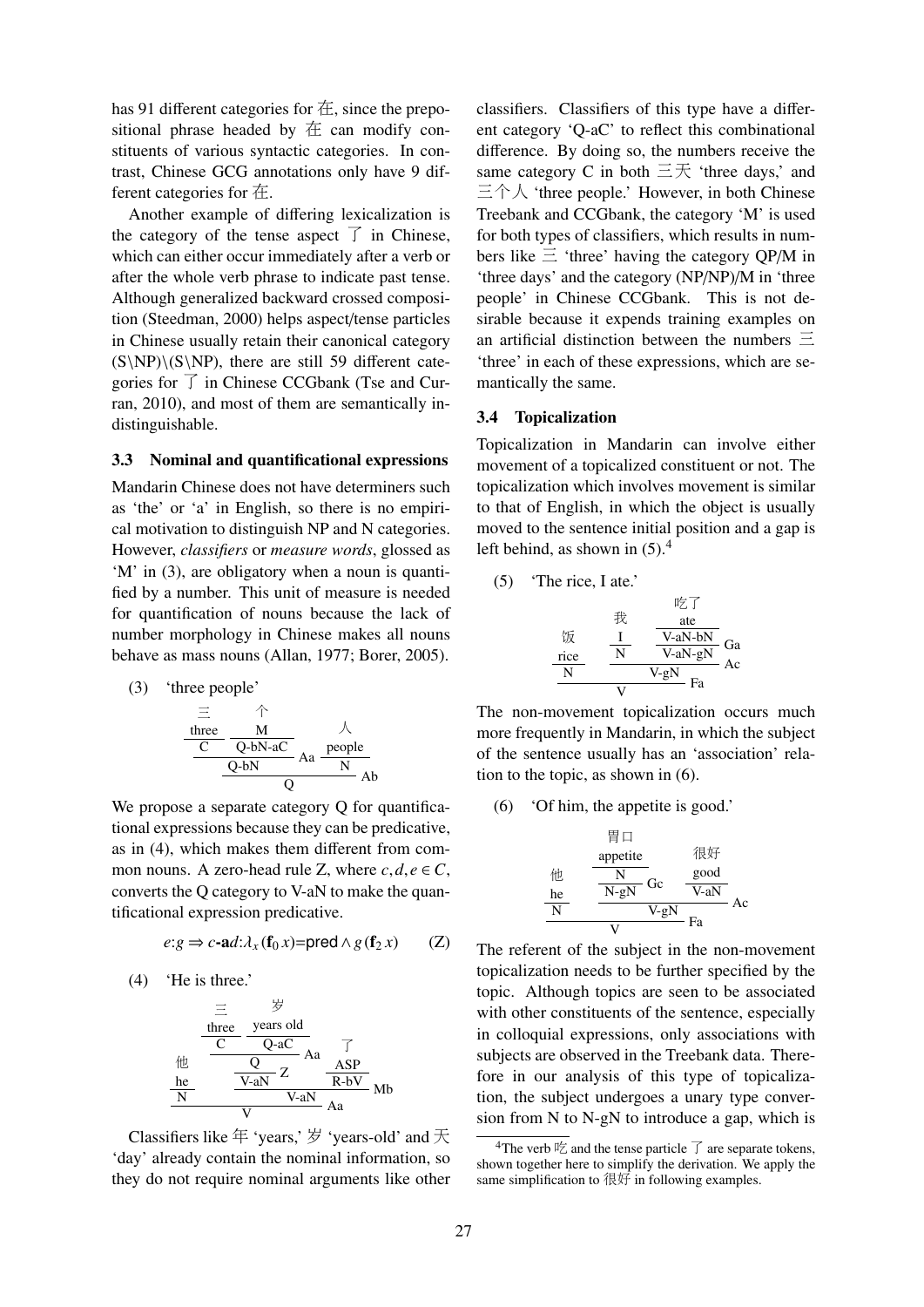has 91 different categories for  $\pm$ , since the prepositional phrase headed by  $#$  can modify constituents of various syntactic categories. In contrast, Chinese GCG annotations only have 9 different categories for 在.

Another example of differing lexicalization is the category of the tense aspect  $\overrightarrow{f}$  in Chinese, which can either occur immediately after a verb or after the whole verb phrase to indicate past tense. Although generalized backward crossed composition (Steedman, 2000) helps aspect/tense particles in Chinese usually retain their canonical category  $(S\NP)\G\NP)$ , there are still 59 different categories for 了 in Chinese CCGbank (Tse and Curran, 2010), and most of them are semantically indistinguishable.

### 3.3 Nominal and quantificational expressions

Mandarin Chinese does not have determiners such as 'the' or 'a' in English, so there is no empirical motivation to distinguish NP and N categories. However, *classifiers* or *measure words*, glossed as 'M' in (3), are obligatory when a noun is quantified by a number. This unit of measure is needed for quantification of nouns because the lack of number morphology in Chinese makes all nouns behave as mass nouns (Allan, 1977; Borer, 2005).

(3) 'three people'

$$
\frac{\frac{\equiv}{\text{three}} \quad \wedge \quad \wedge}{\frac{C \quad Q-bN-aC}{Q}} \text{Aa} \frac{\text{people}}{N} \text{Ab}
$$

We propose a separate category Q for quantificational expressions because they can be predicative, as in (4), which makes them different from common nouns. A zero-head rule Z, where  $c, d, e \in C$ , converts the Q category to V-aN to make the quantificational expression predicative.

$$
e:g \Rightarrow c\text{-ad}:\lambda_x(\mathbf{f}_0 x) = \text{pred} \land g(\mathbf{f}_2 x) \qquad (Z)
$$

(4) 'He is three.'

$$
\frac{\frac{\equiv}{\text{three}}}{\frac{\text{three}}{\text{C}} \cdot \frac{\text{years old}}{\text{Q-aC}}}
$$
\n
$$
\frac{\frac{\text{the}}{\text{he}}}{\frac{\text{V-aN}}{\text{V-aN}}} \frac{\frac{\text{ASP}}{\text{R-bV}}}{\text{R-bV}}
$$
\n
$$
\frac{\text{N}}{\text{V}}
$$
\n
$$
\frac{\text{V-aN}}{\text{V}} = \text{Aa}
$$

Classifiers like <sup>年</sup> 'years,' 岁 'years-old' and 天 'day' already contain the nominal information, so they do not require nominal arguments like other

classifiers. Classifiers of this type have a different category 'Q-aC' to reflect this combinational difference. By doing so, the numbers receive the same category C in both  $\equiv \pm \frac{1}{2}$  'three days,' and 三个人 'three people.' However, in both Chinese Treebank and CCGbank, the category 'M' is used for both types of classifiers, which results in numbers like  $\Xi$  'three' having the category OP/M in 'three days' and the category (NP/NP)/M in 'three people' in Chinese CCGbank. This is not desirable because it expends training examples on an artificial distinction between the numbers  $\Xi$ 'three' in each of these expressions, which are semantically the same.

### 3.4 Topicalization

Topicalization in Mandarin can involve either movement of a topicalized constituent or not. The topicalization which involves movement is similar to that of English, in which the object is usually moved to the sentence initial position and a gap is left behind, as shown in  $(5)$ .<sup>4</sup>

(5) 'The rice, I ate.'

$$
\begin{array}{ccc}\n & & \mathbb{H}_{\mathbb{Z}}^{\mathbb{Z}} \not \supset \\
 & \mathbb{R} & \text{ate} \\
 & \underline{N} & \underline{V-aN-bN} \\
 \hline\n & \underline{N} & \underline{V-aN-gN} \\
 & \underline{V} & \underline{V} & \underline{R} \\
 & \underline{V} & \underline{V} & \underline{R} \\
 \end{array} \text{Ga}
$$

The non-movement topicalization occurs much more frequently in Mandarin, in which the subject of the sentence usually has an 'association' relation to the topic, as shown in (6).

(6) 'Of him, the appetite is good.'

$$
\begin{array}{c}\n\text{H} \Box \\
\text{the} \\
\hline\n\frac{N}{N} \\
\hline\n\frac{N}{N} \\
\hline\n\frac{N \rightarrow gN}{V} Gc \\
\hline\n\frac{1}{V} Gc \\
\hline\n\frac{1}{V} Gc \\
\hline\n\frac{1}{V} Gc \\
\hline\n\frac{1}{V} Gc \\
\hline\n\frac{1}{V} Gc \\
\hline\n\frac{1}{V} Gc \\
\hline\n\frac{1}{V} Gc \\
\hline\n\frac{1}{V} Gc \\
\hline\n\frac{1}{V} Gc \\
\hline\n\frac{1}{V} Gc \\
\hline\n\frac{1}{V} Gc \\
\hline\n\frac{1}{V} Gc \\
\hline\n\frac{1}{V} Gc \\
\hline\n\frac{1}{V} Gc \\
\hline\n\frac{1}{V} Gc \\
\hline\n\frac{1}{V} Gc \\
\hline\n\frac{1}{V} Gc \\
\hline\n\frac{1}{V} Gc \\
\hline\n\frac{1}{V} Gc \\
\hline\n\frac{1}{V} Gc \\
\hline\n\frac{1}{V} Gc \\
\hline\n\frac{1}{V} Gc \\
\hline\n\frac{1}{V} Gc \\
\hline\n\frac{1}{V} Gc \\
\hline\n\frac{1}{V} Gc \\
\hline\n\frac{1}{V} Gc \\
\hline\n\frac{1}{V} Gc \\
\hline\n\frac{1}{V} Gc \\
\hline\n\frac{1}{V} Gc \\
\hline\n\frac{1}{V} Gc \\
\hline\n\frac{1}{V} Gc \\
\hline\n\frac{1}{V} Gc \\
\hline\n\frac{1}{V} Gc \\
\hline\n\frac{1}{V} Gc \\
\hline\n\frac{1}{V} Gc \\
\hline\n\frac{1}{V} Gc \\
\hline\n\frac{1}{V} Gc \\
\hline\n\frac{1}{V} Gc \\
\hline\n\frac{1}{V} Gc \\
\hline\n\frac{1}{V} Gc \\
\hline\n\frac{1}{V} Gc \\
\hline\n\frac{1}{V} Gc \\
\hline\n\frac{1}{V} Gc \\
\hline\n\frac{1}{V} Gc \\
\hline\n\frac{1}{V} Gc \\
\hline\n\frac{1}{V} Gc \\
\hline\n\frac{1}{V} Gc \\
\hline\n\frac{1}{V} Gc \\
\hline\n\frac{1}{V} Gc \\
\hline\n\frac{1}{V
$$

The referent of the subject in the non-movement topicalization needs to be further specified by the topic. Although topics are seen to be associated with other constituents of the sentence, especially in colloquial expressions, only associations with subjects are observed in the Treebank data. Therefore in our analysis of this type of topicalization, the subject undergoes a unary type conversion from N to N-gN to introduce a gap, which is

<sup>&</sup>lt;sup>4</sup>The verb  $\frac{1}{2}$  and the tense particle  $\overrightarrow{J}$  are separate tokens, shown together here to simplify the derivation. We apply the same simplification to  $\left\langle \mathbb{R} \right\rangle$  in following examples.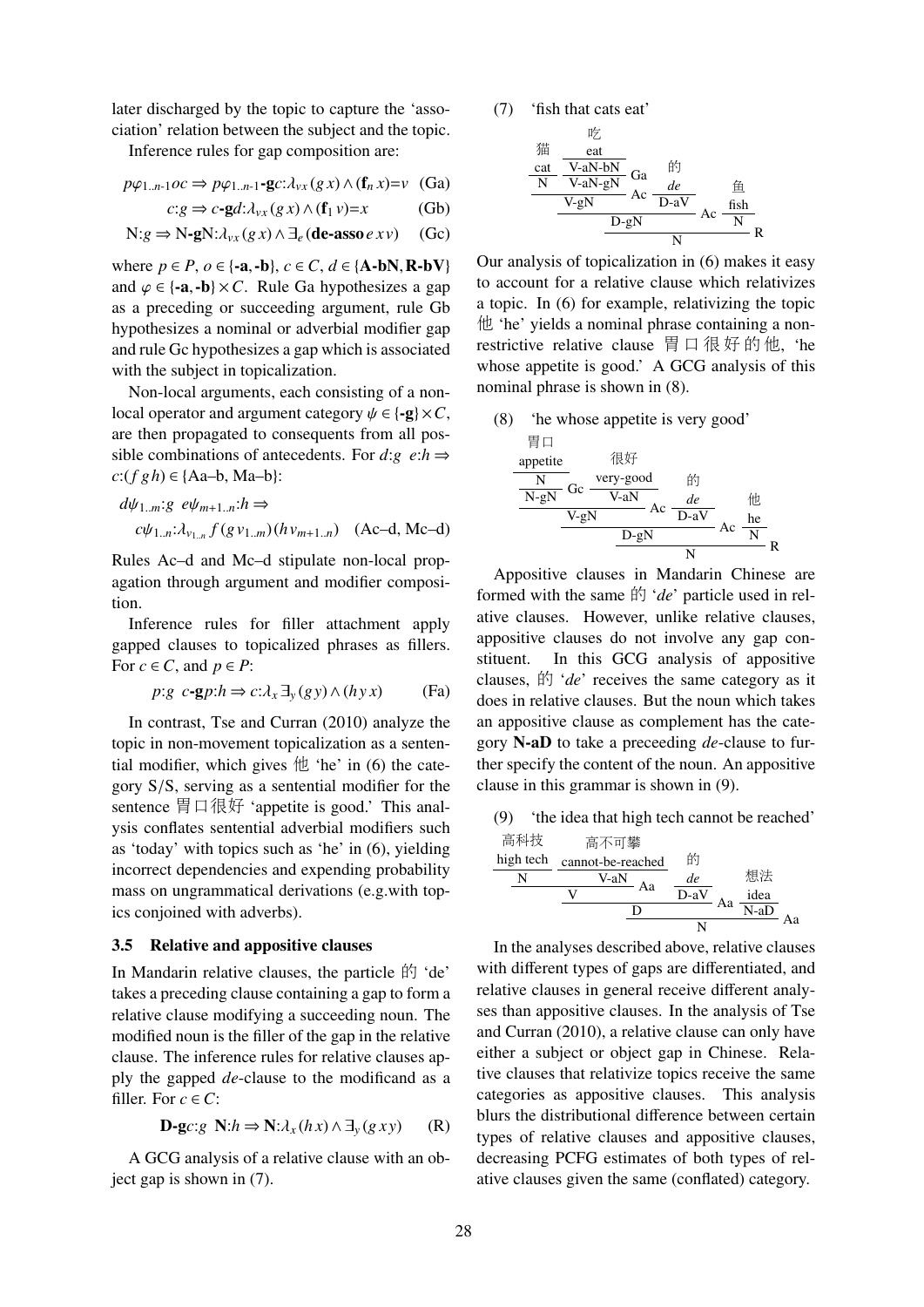later discharged by the topic to capture the 'association' relation between the subject and the topic.

Inference rules for gap composition are:

$$
p\varphi_{1..n-1}oc \Rightarrow p\varphi_{1..n-1}\text{-}\mathbf{g}c:\lambda_{vx}(g\,x) \wedge (\mathbf{f}_n\,x) = v \quad \text{(Ga)}
$$

$$
c:g \Rightarrow c\text{-}gd:\lambda_{vx}(g\,x) \land (\mathbf{f}_1 v)=x \tag{Gb}
$$

$$
N: g \Rightarrow N-gN: \lambda_{vx}(g x) \land \exists_e (\text{de-asso } e x v) \quad (Gc)
$$

where  $p \in P$ ,  $o \in \{-a, -b\}$ ,  $c \in C$ ,  $d \in \{A-bN, R-bV\}$ and  $\varphi \in \{-a, -b\} \times C$ . Rule Ga hypothesizes a gap as a preceding or succeeding argument, rule Gb hypothesizes a nominal or adverbial modifier gap and rule Gc hypothesizes a gap which is associated with the subject in topicalization.

Non-local arguments, each consisting of a nonlocal operator and argument category  $\psi \in \{-g\} \times C$ , are then propagated to consequents from all possible combinations of antecedents. For  $d:g \text{ } e: h \Rightarrow$  $c:(f gh) ∈ {Aa-b, Ma-b}$ :

$$
d\psi_{1..m}:g \ e\psi_{m+1..n}:h \Rightarrow
$$
  

$$
c\psi_{1..n}: \lambda_{v_{1..n}} f(g \nu_{1..m}) (h \nu_{m+1..n}) \quad \text{(Ac-d, Mc-d)}
$$

Rules Ac–d and Mc–d stipulate non-local propagation through argument and modifier composition.

Inference rules for filler attachment apply gapped clauses to topicalized phrases as fillers. For  $c \in C$ , and  $p \in P$ :

$$
p:g \ c\text{-}gp:h \Rightarrow c:\lambda_x \exists_y (gy) \land (hyx) \qquad \text{(Fa)}
$$

In contrast, Tse and Curran (2010) analyze the topic in non-movement topicalization as a sentential modifier, which gives  $#$  'he' in (6) the category S/S, serving as a sentential modifier for the sentence <sup>胃</sup>口很好 'appetite is good.' This analysis conflates sentential adverbial modifiers such as 'today' with topics such as 'he' in (6), yielding incorrect dependencies and expending probability mass on ungrammatical derivations (e.g.with topics conjoined with adverbs).

### 3.5 Relative and appositive clauses

In Mandarin relative clauses, the particle  $\mathbb{H}$  'de' takes a preceding clause containing a gap to form a relative clause modifying a succeeding noun. The modified noun is the filler of the gap in the relative clause. The inference rules for relative clauses apply the gapped *de*-clause to the modificand as a filler. For  $c \in C^*$ 

$$
\mathbf{D}\text{-}\mathbf{g}c:g\ \mathbf{N}:h\Rightarrow\mathbf{N}:\lambda_x(hx)\wedge\exists_y(gxy)\qquad(R)
$$

A GCG analysis of a relative clause with an object gap is shown in (7).



$$
\begin{array}{cc}\n\text{ $\overset{\mathcal{H}}{H}$} & \overset{\mathcal{H}}{=} \text{ $\overset{\mathcal{H}}{X}$} \\
\text{ $\overset{\mathcal{H}}{N}$} & \overset{\mathcal{H}}{V}\text{-}aN-bN \\
\hline\n\text{ $N$} & \overset{\mathcal{H}}{V}\text{-}aN-gN \\
\hline\n\text{ $N$} & \overset{\mathcal{H}}{D}eN \\
\hline\n\text{ $N$} & \overset{\mathcal{H}}{N} & \overset{\mathcal{H}}{N} \\
\hline\n\text{ $N$} & \overset{\mathcal{H}}{N} & \overset{\mathcal{H}}{N} \\
\end{array}
$$

Our analysis of topicalization in (6) makes it easy to account for a relative clause which relativizes a topic. In (6) for example, relativizing the topic 他 'he' yields a nominal phrase containing a nonrestrictive relative clause 胃口很好的他, 'he whose appetite is good.' A GCG analysis of this nominal phrase is shown in (8).

(8) 'he whose appetite is very good'

$$
\begin{array}{c}\n\text{# } \Box \\
\text{apetite} \\
\hline\n\frac{N}{N-gN} \text{Gc} \xrightarrow{\text{very good}} \text{#} \\
\hline\n\frac{V-gN}{V-gN} \text{Ac} \xrightarrow{\text{de}} \text{Ac} \xrightarrow{\text{the}} \\
\hline\n\frac{V-gN}{D-gN} \text{Ac} \xrightarrow{\text{Re}} R\n\end{array}
$$

Appositive clauses in Mandarin Chinese are formed with the same 的 '*de*' particle used in relative clauses. However, unlike relative clauses, appositive clauses do not involve any gap constituent. In this GCG analysis of appositive clauses, 的 '*de*' receives the same category as it does in relative clauses. But the noun which takes an appositive clause as complement has the category N-aD to take a preceeding *de*-clause to further specify the content of the noun. An appositive clause in this grammar is shown in (9).

(9) 'the idea that high tech cannot be reached'

$$
\frac{\mathbf{\overline{A}}\mathbf{\overline{A}}\mathbf{\overline{B}}}{N} \qquad\n \begin{array}{c}\n \mathbf{\overline{A}}\mathbf{\overline{A}}\mathbf{\overline{B}} \\
 \hline\n \mathbf{N} & \mathbf{C}\n \end{array}\n \qquad\n \begin{array}{c}\n \mathbf{\overline{A}}\mathbf{\overline{A}} \\
 \mathbf{\overline{A}} \\
 \mathbf{\overline{A}} \\
 \mathbf{\overline{A}} \\
 \mathbf{\overline{A}} \\
 \mathbf{\overline{A}} \\
 \mathbf{\overline{A}} \\
 \mathbf{\overline{A}} \\
 \mathbf{\overline{A}} \\
 \mathbf{\overline{A}} \\
 \mathbf{\overline{A}} \\
 \mathbf{\overline{A}} \\
 \mathbf{\overline{A}} \\
 \mathbf{\overline{A}} \\
 \mathbf{\overline{A}} \\
 \mathbf{\overline{A}} \\
 \mathbf{\overline{A}} \\
 \mathbf{\overline{A}} \\
 \mathbf{\overline{A}} \\
 \mathbf{\overline{A}} \\
 \mathbf{\overline{A}} \\
 \mathbf{\overline{A}} \\
 \mathbf{\overline{A}} \\
 \mathbf{\overline{A}} \\
 \mathbf{\overline{A}} \\
 \mathbf{\overline{A}} \\
 \mathbf{\overline{A}} \\
 \mathbf{\overline{A}} \\
 \mathbf{\overline{A}} \\
 \mathbf{\overline{A}} \\
 \mathbf{\overline{A}} \\
 \mathbf{\overline{A}} \\
 \mathbf{\overline{A}} \\
 \mathbf{\overline{A}} \\
 \mathbf{\overline{A}} \\
 \mathbf{\overline{A}} \\
 \mathbf{\overline{A}} \\
 \mathbf{\overline{A}} \\
 \mathbf{\overline{A}} \\
 \mathbf{\overline{A}} \\
 \mathbf{\overline{A}} \\
 \mathbf{\overline{A}} \\
 \mathbf{\overline{A}} \\
 \mathbf{\overline{A}} \\
 \mathbf{\overline{A}} \\
 \mathbf{\overline{A}} \\
 \mathbf{\overline{A}} \\
 \mathbf{\overline{A}} \\
 \mathbf{\overline{A}} \\
 \mathbf{\overline{A}} \\
 \mathbf{\overline{A}} \\
 \mathbf{\overline{A}} \\
 \mathbf{\overline{A}} \\
 \mathbf{\overline{A}} \\
 \mathbf{\overline{A}} \\
 \mathbf{\overline{A}} \\
 \mathbf{\overline{A}} \\
 \mathbf{\overline{A}} \\
 \mathbf{\overline{A}} \\
 \mathbf{\overline{A}} \\
 \mathbf{\overline{A}} \\
 \mathbf{\overline{A}} \\
 \mathbf{\overline{A}} \\
 \mathbf{\overline{A}} \\
$$

In the analyses described above, relative clauses with different types of gaps are differentiated, and relative clauses in general receive different analyses than appositive clauses. In the analysis of Tse and Curran (2010), a relative clause can only have either a subject or object gap in Chinese. Relative clauses that relativize topics receive the same categories as appositive clauses. This analysis blurs the distributional difference between certain types of relative clauses and appositive clauses, decreasing PCFG estimates of both types of relative clauses given the same (conflated) category.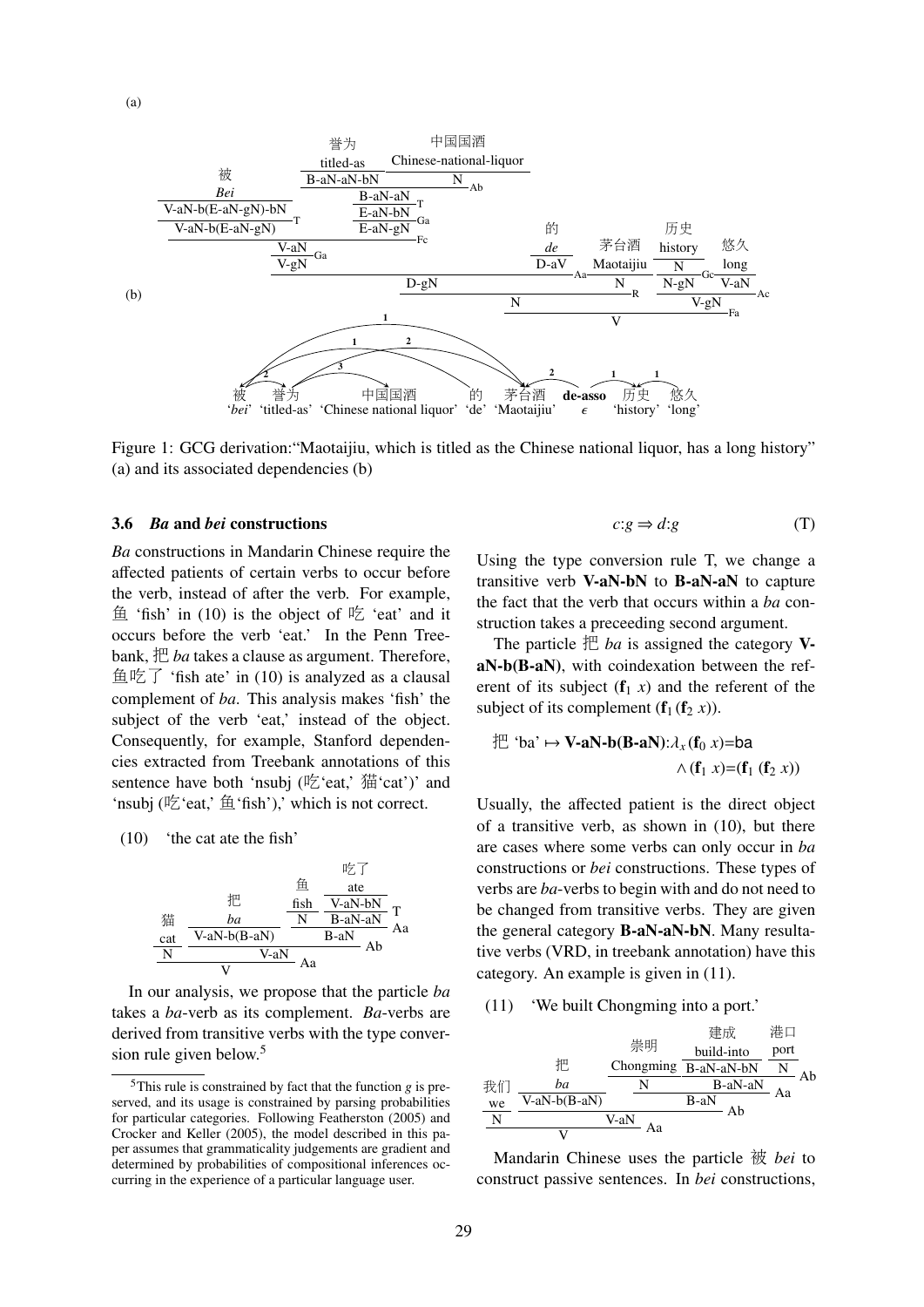

Figure 1: GCG derivation:"Maotaijiu, which is titled as the Chinese national liquor, has a long history" (a) and its associated dependencies (b)

#### 3.6 *Ba* and *bei* constructions

*Ba* constructions in Mandarin Chinese require the affected patients of certain verbs to occur before the verb, instead of after the verb. For example, 鱼 'fish' in  $(10)$  is the object of 吃 'eat' and it occurs before the verb 'eat.' In the Penn Treebank, 把 *ba* takes a clause as argument. Therefore, 鱼吃了 'fish ate' in (10) is analyzed as a clausal complement of *ba*. This analysis makes 'fish' the subject of the verb 'eat,' instead of the object. Consequently, for example, Stanford dependencies extracted from Treebank annotations of this sentence have both 'nsubj ( $\frac{1}{2}$ 'eat,'  $\frac{1}{41}$ 'cat')' and 'nsubj (吃'eat,' 鱼'fish'),' which is not correct.

(10) 'the cat ate the fish'



In our analysis, we propose that the particle *ba* takes a *ba*-verb as its complement. *Ba*-verbs are derived from transitive verbs with the type conversion rule given below.<sup>5</sup>

$$
c:g \Rightarrow d:g \tag{T}
$$

Using the type conversion rule T, we change a transitive verb V-aN-bN to B-aN-aN to capture the fact that the verb that occurs within a *ba* construction takes a preceeding second argument.

The particle  $\mathbb{H}$  *ba* is assigned the category VaN-b(B-aN), with coindexation between the referent of its subject  $(f_1 x)$  and the referent of the subject of its complement  $(f_1(f_2 x))$ .

$$
\mathcal{H}^{\cdot} \text{ 'ba'} \mapsto \mathbf{V}\text{-aN-b(B-aN)}:\lambda_{x}(\mathbf{f}_{0}, x) = \mathbf{ba}
$$

$$
\wedge (\mathbf{f}_{1}, x) = (\mathbf{f}_{1}(\mathbf{f}_{2}, x))
$$

Usually, the affected patient is the direct object of a transitive verb, as shown in (10), but there are cases where some verbs can only occur in *ba* constructions or *bei* constructions. These types of verbs are *ba*-verbs to begin with and do not need to be changed from transitive verbs. They are given the general category B-aN-aN-bN. Many resultative verbs (VRD, in treebank annotation) have this category. An example is given in (11).

(11) 'We built Chongming into a port.'

$$
\frac{\frac{1}{2} \frac{1}{2} \frac{1}{2} \frac{1}{2} \frac{1}{2} \frac{1}{2} \frac{1}{2} \frac{1}{2} \frac{1}{2} \frac{1}{2} \frac{1}{2} \frac{1}{2} \frac{1}{2} \frac{1}{2} \frac{1}{2} \frac{1}{2} \frac{1}{2} \frac{1}{2} \frac{1}{2} \frac{1}{2} \frac{1}{2} \frac{1}{2} \frac{1}{2} \frac{1}{2} \frac{1}{2} \frac{1}{2} \frac{1}{2} \frac{1}{2} \frac{1}{2} \frac{1}{2} \frac{1}{2} \frac{1}{2} \frac{1}{2} \frac{1}{2} \frac{1}{2} \frac{1}{2} \frac{1}{2} \frac{1}{2} \frac{1}{2} \frac{1}{2} \frac{1}{2} \frac{1}{2} \frac{1}{2} \frac{1}{2} \frac{1}{2} \frac{1}{2} \frac{1}{2} \frac{1}{2} \frac{1}{2} \frac{1}{2} \frac{1}{2} \frac{1}{2} \frac{1}{2} \frac{1}{2} \frac{1}{2} \frac{1}{2} \frac{1}{2} \frac{1}{2} \frac{1}{2} \frac{1}{2} \frac{1}{2} \frac{1}{2} \frac{1}{2} \frac{1}{2} \frac{1}{2} \frac{1}{2} \frac{1}{2} \frac{1}{2} \frac{1}{2} \frac{1}{2} \frac{1}{2} \frac{1}{2} \frac{1}{2} \frac{1}{2} \frac{1}{2} \frac{1}{2} \frac{1}{2} \frac{1}{2} \frac{1}{2} \frac{1}{2} \frac{1}{2} \frac{1}{2} \frac{1}{2} \frac{1}{2} \frac{1}{2} \frac{1}{2} \frac{1}{2} \frac{1}{2} \frac{1}{2} \frac{1}{2} \frac{1}{2} \frac{1}{2} \frac{1}{2} \frac{1}{2} \frac{1}{2} \frac{1}{2} \frac{1}{2} \frac{1}{2} \frac{1}{2} \frac{1}{2} \frac{1}{2} \frac{1}{2} \frac{1}{2} \frac{1}{2} \frac{1}{2} \frac{1}{2} \frac{1}{2} \frac{1}{2} \frac
$$

Mandarin Chinese uses the particle 被 *bei* to construct passive sentences. In *bei* constructions,

 $5$ This rule is constrained by fact that the function  $g$  is preserved, and its usage is constrained by parsing probabilities for particular categories. Following Featherston (2005) and Crocker and Keller (2005), the model described in this paper assumes that grammaticality judgements are gradient and determined by probabilities of compositional inferences occurring in the experience of a particular language user.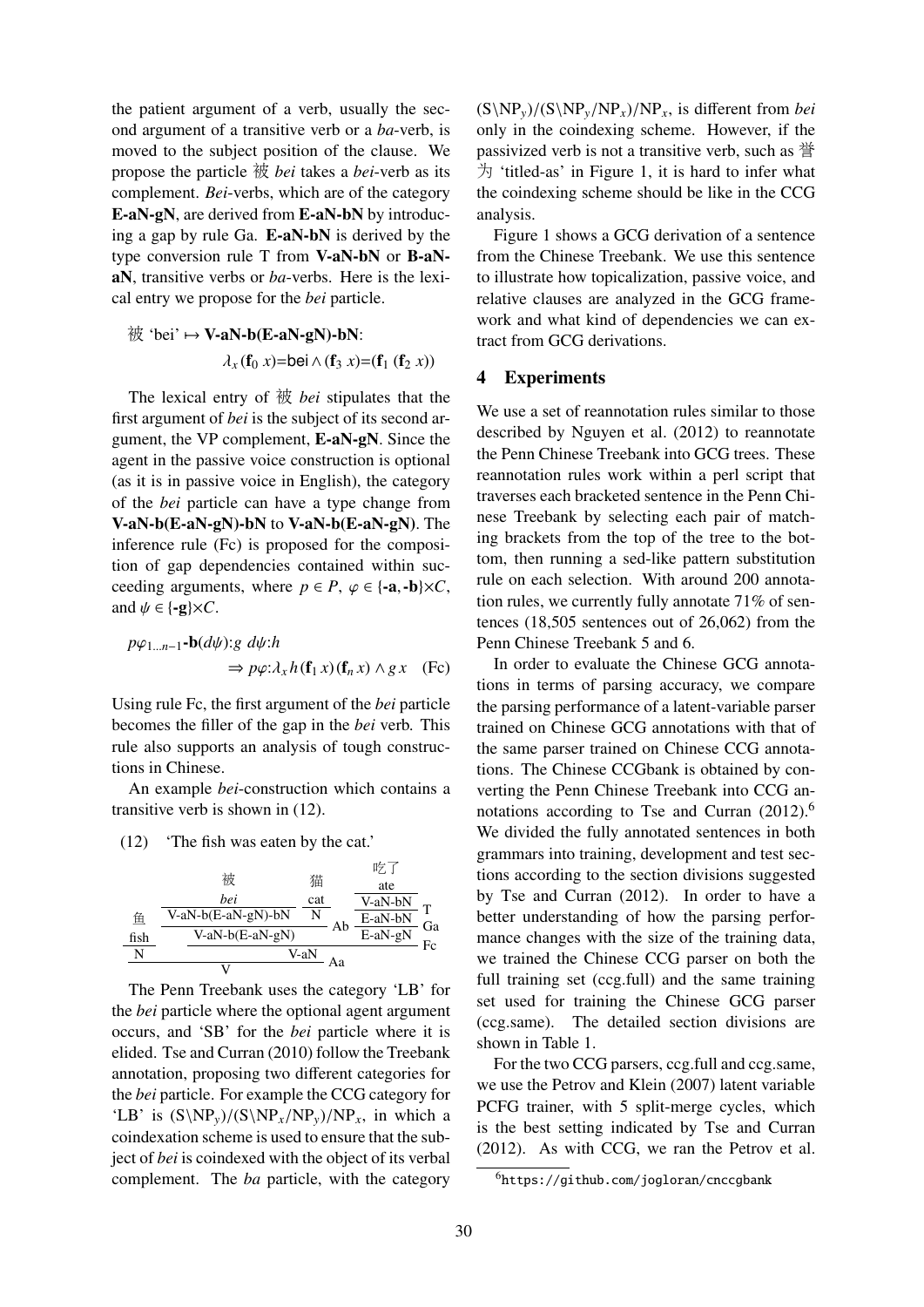the patient argument of a verb, usually the second argument of a transitive verb or a *ba*-verb, is moved to the subject position of the clause. We propose the particle 被 *bei* takes a *bei*-verb as its complement. *Bei*-verbs, which are of the category E-aN-gN, are derived from E-aN-bN by introducing a gap by rule Ga. E-aN-bN is derived by the type conversion rule T from V-aN-bN or B-aNaN, transitive verbs or *ba*-verbs. Here is the lexical entry we propose for the *bei* particle.

$$
}
$$
 ∗*bei*'  $\mapsto$  **V-aN-b(E-aN-gN)-bN**:  

$$
\lambda_x(f_0 x)=\text{bei} \wedge (f_3 x)=(f_1 (f_2 x))
$$

The lexical entry of 被 *bei* stipulates that the first argument of *bei* is the subject of its second argument, the VP complement, E-aN-gN. Since the agent in the passive voice construction is optional (as it is in passive voice in English), the category of the *bei* particle can have a type change from V-aN-b(E-aN-gN)-bN to V-aN-b(E-aN-gN). The inference rule (Fc) is proposed for the composition of gap dependencies contained within succeeding arguments, where  $p \in P$ ,  $\varphi \in \{-a, -b\} \times C$ , and  $\psi \in \{-g\} \times C$ .

$$
p\varphi_{1...n-1}\text{-}\mathbf{b}(d\psi) : g \ d\psi : h
$$
  
\n
$$
\Rightarrow p\varphi : \lambda_x h(\mathbf{f}_1 x)(\mathbf{f}_n x) \wedge g x \quad \text{(Fc)}
$$

Using rule Fc, the first argument of the *bei* particle becomes the filler of the gap in the *bei* verb. This rule also supports an analysis of tough constructions in Chinese.

An example *bei*-construction which contains a transitive verb is shown in (12).

(12) 'The fish was eaten by the cat.'

|      |                    |      |    | 吃口        |    |
|------|--------------------|------|----|-----------|----|
|      | 被                  | 猫    |    | ate       |    |
|      | bei                | cat  |    | V-aN-bN   |    |
| 鱼    | V-aN-b(E-aN-gN)-bN | N    | Ab | E-aN-bN   | Ga |
| fish | $V-aN-b(E-aN-gN)$  |      |    | $E-aN-gN$ | Fc |
| N    |                    | V-aN |    |           |    |
|      |                    |      | Aа |           |    |

The Penn Treebank uses the category 'LB' for the *bei* particle where the optional agent argument occurs, and 'SB' for the *bei* particle where it is elided. Tse and Curran (2010) follow the Treebank annotation, proposing two different categories for the *bei* particle. For example the CCG category for 'LB' is  $(S\NP_y)/(S\NP_x/NP_y)/NP_x$ , in which a coindexation scheme is used to ensure that the subject of *bei* is coindexed with the object of its verbal complement. The *ba* particle, with the category  $(S\NP_y)/(S\NP_y/NP_x)/NP_x$ , is different from *bei* only in the coindexing scheme. However, if the passivized verb is not a transitive verb, such as 誉 为 'titled-as' in Figure 1, it is hard to infer what the coindexing scheme should be like in the CCG analysis.

Figure 1 shows a GCG derivation of a sentence from the Chinese Treebank. We use this sentence to illustrate how topicalization, passive voice, and relative clauses are analyzed in the GCG framework and what kind of dependencies we can extract from GCG derivations.

#### 4 Experiments

We use a set of reannotation rules similar to those described by Nguyen et al. (2012) to reannotate the Penn Chinese Treebank into GCG trees. These reannotation rules work within a perl script that traverses each bracketed sentence in the Penn Chinese Treebank by selecting each pair of matching brackets from the top of the tree to the bottom, then running a sed-like pattern substitution rule on each selection. With around 200 annotation rules, we currently fully annotate 71% of sentences (18,505 sentences out of 26,062) from the Penn Chinese Treebank 5 and 6.

In order to evaluate the Chinese GCG annotations in terms of parsing accuracy, we compare the parsing performance of a latent-variable parser trained on Chinese GCG annotations with that of the same parser trained on Chinese CCG annotations. The Chinese CCGbank is obtained by converting the Penn Chinese Treebank into CCG annotations according to Tse and Curran  $(2012)^6$ We divided the fully annotated sentences in both grammars into training, development and test sections according to the section divisions suggested by Tse and Curran (2012). In order to have a better understanding of how the parsing performance changes with the size of the training data, we trained the Chinese CCG parser on both the full training set (ccg.full) and the same training set used for training the Chinese GCG parser (ccg.same). The detailed section divisions are shown in Table 1.

For the two CCG parsers, ccg.full and ccg.same, we use the Petrov and Klein (2007) latent variable PCFG trainer, with 5 split-merge cycles, which is the best setting indicated by Tse and Curran (2012). As with CCG, we ran the Petrov et al.

<sup>6</sup>https://github.com/jogloran/cnccgbank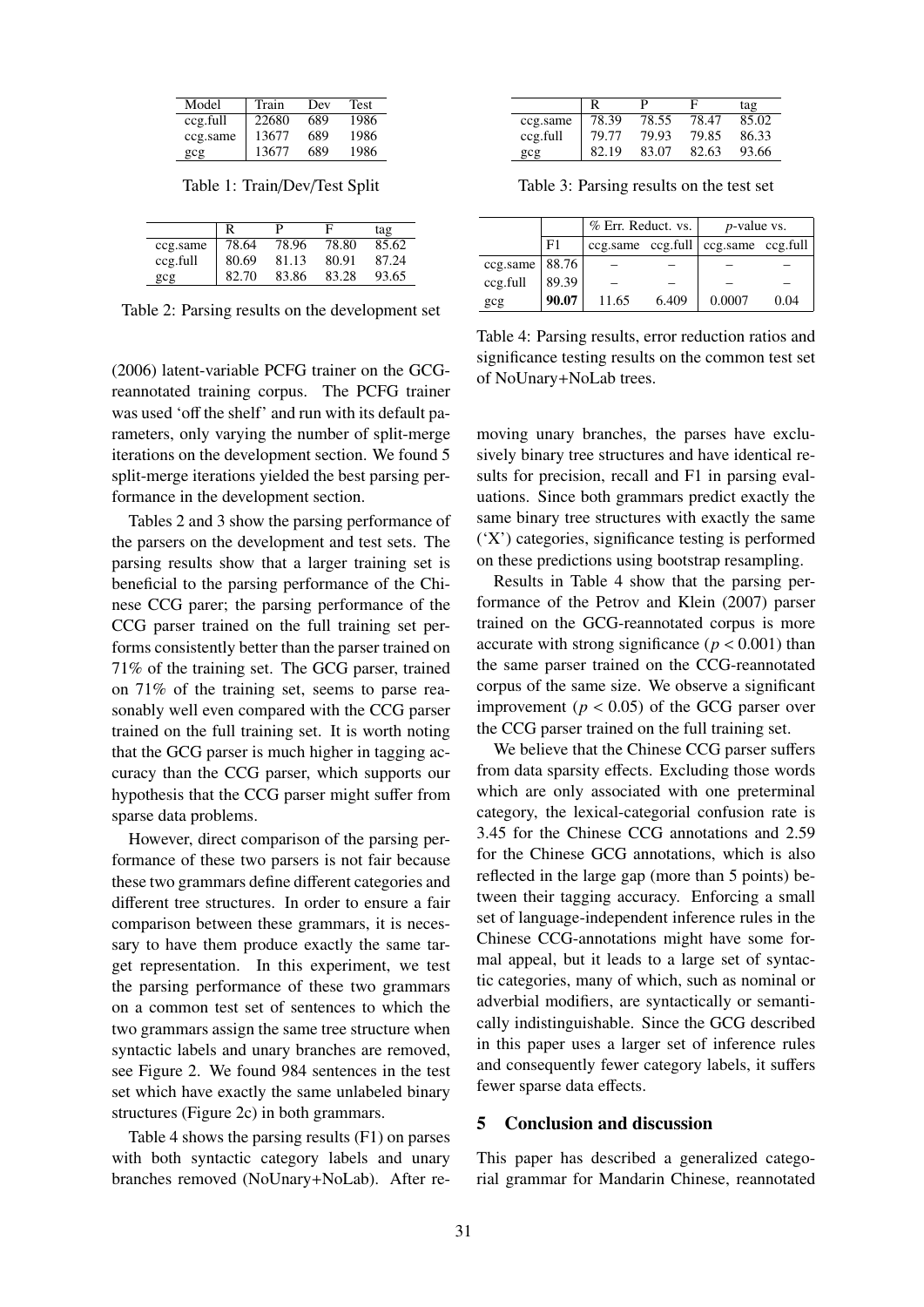| Model    | Train | Dev | Test |
|----------|-------|-----|------|
| ccg.full | 22680 | 689 | 1986 |
| ccg.same | 13677 | 689 | 1986 |
| gcg      | 13677 | 689 | 1986 |

Table 1: Train/Dev/Test Split

|          |       | р     | F     | tag   |
|----------|-------|-------|-------|-------|
| ccg.same | 78.64 | 78.96 | 78.80 | 85.62 |
| ccg.full | 80.69 | 81.13 | 80.91 | 87.24 |
| gcg      | 82.70 | 83.86 | 83.28 | 93.65 |

Table 2: Parsing results on the development set

(2006) latent-variable PCFG trainer on the GCGreannotated training corpus. The PCFG trainer was used 'off the shelf' and run with its default parameters, only varying the number of split-merge iterations on the development section. We found 5 split-merge iterations yielded the best parsing performance in the development section.

Tables 2 and 3 show the parsing performance of the parsers on the development and test sets. The parsing results show that a larger training set is beneficial to the parsing performance of the Chinese CCG parer; the parsing performance of the CCG parser trained on the full training set performs consistently better than the parser trained on 71% of the training set. The GCG parser, trained on 71% of the training set, seems to parse reasonably well even compared with the CCG parser trained on the full training set. It is worth noting that the GCG parser is much higher in tagging accuracy than the CCG parser, which supports our hypothesis that the CCG parser might suffer from sparse data problems.

However, direct comparison of the parsing performance of these two parsers is not fair because these two grammars define different categories and different tree structures. In order to ensure a fair comparison between these grammars, it is necessary to have them produce exactly the same target representation. In this experiment, we test the parsing performance of these two grammars on a common test set of sentences to which the two grammars assign the same tree structure when syntactic labels and unary branches are removed, see Figure 2. We found 984 sentences in the test set which have exactly the same unlabeled binary structures (Figure 2c) in both grammars.

Table 4 shows the parsing results (F1) on parses with both syntactic category labels and unary branches removed (NoUnary+NoLab). After re-

|          |       | p     | F     | tag   |
|----------|-------|-------|-------|-------|
| ccg.same | 78.39 | 78.55 | 78.47 | 85.02 |
| ccg.full | 79.77 | 79.93 | 79.85 | 86.33 |
| gcg      | 82.19 | 83.07 | 82.63 | 93.66 |

Table 3: Parsing results on the test set

|                   |       | % Err. Reduct. vs. |       | <i>p</i> -value vs.                         |      |
|-------------------|-------|--------------------|-------|---------------------------------------------|------|
|                   | F1    |                    |       | $ccg.same$ $ccg.full$ $ccg.same$ $ccg.full$ |      |
| ccg.same $ 88.76$ |       |                    |       |                                             |      |
| ccg.full          | 89.39 |                    |       |                                             |      |
| gcg               | 90.07 | 11.65              | 6.409 | 0.0007                                      | 0.04 |

Table 4: Parsing results, error reduction ratios and significance testing results on the common test set of NoUnary+NoLab trees.

moving unary branches, the parses have exclusively binary tree structures and have identical results for precision, recall and F1 in parsing evaluations. Since both grammars predict exactly the same binary tree structures with exactly the same ('X') categories, significance testing is performed on these predictions using bootstrap resampling.

Results in Table 4 show that the parsing performance of the Petrov and Klein (2007) parser trained on the GCG-reannotated corpus is more accurate with strong significance ( $p < 0.001$ ) than the same parser trained on the CCG-reannotated corpus of the same size. We observe a significant improvement ( $p < 0.05$ ) of the GCG parser over the CCG parser trained on the full training set.

We believe that the Chinese CCG parser suffers from data sparsity effects. Excluding those words which are only associated with one preterminal category, the lexical-categorial confusion rate is 3.45 for the Chinese CCG annotations and 2.59 for the Chinese GCG annotations, which is also reflected in the large gap (more than 5 points) between their tagging accuracy. Enforcing a small set of language-independent inference rules in the Chinese CCG-annotations might have some formal appeal, but it leads to a large set of syntactic categories, many of which, such as nominal or adverbial modifiers, are syntactically or semantically indistinguishable. Since the GCG described in this paper uses a larger set of inference rules and consequently fewer category labels, it suffers fewer sparse data effects.

## 5 Conclusion and discussion

This paper has described a generalized categorial grammar for Mandarin Chinese, reannotated